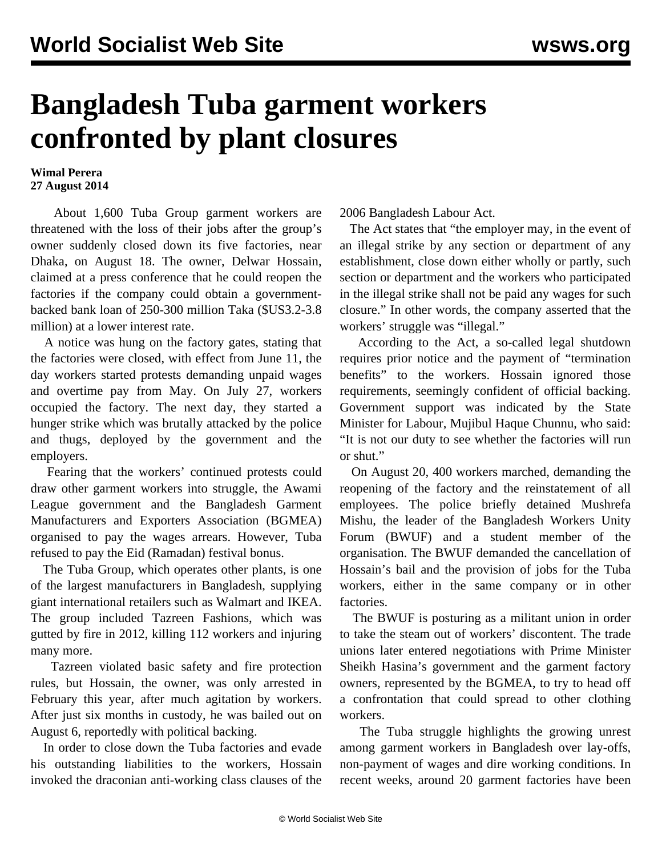## **Bangladesh Tuba garment workers confronted by plant closures**

## **Wimal Perera 27 August 2014**

 About 1,600 Tuba Group garment workers are threatened with the loss of their jobs after the group's owner suddenly closed down its five factories, near Dhaka, on August 18. The owner, Delwar Hossain, claimed at a press conference that he could reopen the factories if the company could obtain a governmentbacked bank loan of 250-300 million Taka (\$US3.2-3.8 million) at a lower interest rate.

 A notice was hung on the factory gates, stating that the factories were closed, with effect from June 11, the day workers started protests demanding unpaid wages and overtime pay from May. On July 27, workers occupied the factory. The next day, they started a hunger strike which was [brutally attacked](/en/articles/2014/08/14/bang-a14.html) by the police and thugs, deployed by the government and the employers.

 Fearing that the workers' continued protests could draw other garment workers into struggle, the Awami League government and the Bangladesh Garment Manufacturers and Exporters Association (BGMEA) organised to pay the wages arrears. However, Tuba refused to pay the Eid (Ramadan) festival bonus.

 The Tuba Group, which operates other plants, is one of the largest manufacturers in Bangladesh, supplying giant international retailers such as Walmart and IKEA. The group included Tazreen Fashions, which was gutted by fire in 2012, killing 112 workers and injuring many more.

 Tazreen violated basic safety and fire protection rules, but Hossain, the owner, was only arrested in February this year, after much agitation by workers. After just six months in custody, he was bailed out on August 6, reportedly with political backing.

 In order to close down the Tuba factories and evade his outstanding liabilities to the workers, Hossain invoked the draconian anti-working class clauses of the 2006 Bangladesh Labour Act.

 The Act states that "the employer may, in the event of an illegal strike by any section or department of any establishment, close down either wholly or partly, such section or department and the workers who participated in the illegal strike shall not be paid any wages for such closure." In other words, the company asserted that the workers' struggle was "illegal."

 According to the Act, a so-called legal shutdown requires prior notice and the payment of "termination benefits" to the workers. Hossain ignored those requirements, seemingly confident of official backing. Government support was indicated by the State Minister for Labour, Mujibul Haque Chunnu, who said: "It is not our duty to see whether the factories will run or shut."

 On August 20, 400 workers marched, demanding the reopening of the factory and the reinstatement of all employees. The police briefly detained Mushrefa Mishu, the leader of the Bangladesh Workers Unity Forum (BWUF) and a student member of the organisation. The BWUF demanded the cancellation of Hossain's bail and the provision of jobs for the Tuba workers, either in the same company or in other factories.

 The BWUF is posturing as a militant union in order to take the steam out of workers' discontent. The trade unions later entered negotiations with Prime Minister Sheikh Hasina's government and the garment factory owners, represented by the BGMEA, to try to head off a confrontation that could spread to other clothing workers.

 The Tuba struggle highlights the growing unrest among garment workers in Bangladesh over lay-offs, non-payment of wages and dire working conditions. In recent weeks, around 20 garment factories have been